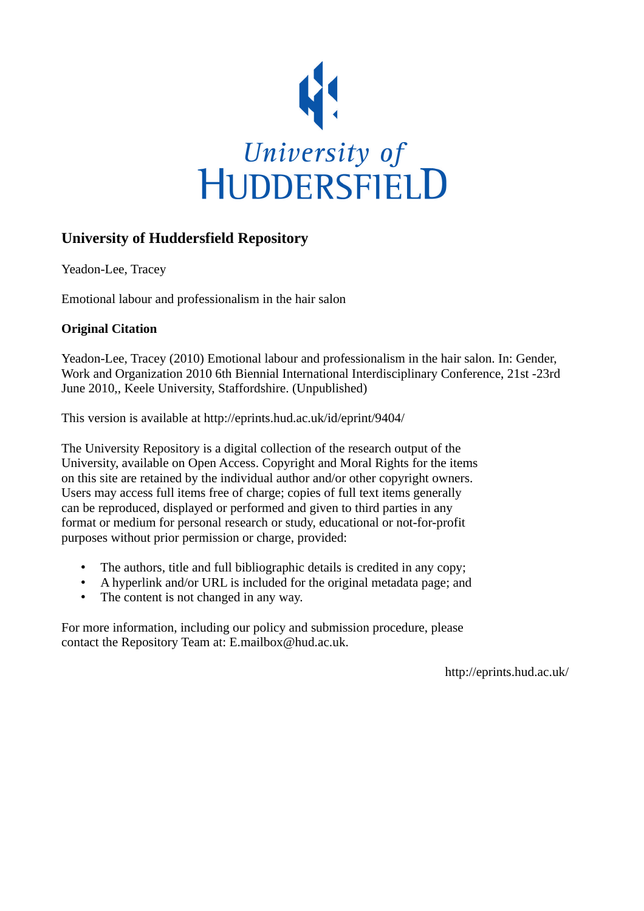

#### **University of Huddersfield Repository**

Yeadon-Lee, Tracey

Emotional labour and professionalism in the hair salon

#### **Original Citation**

Yeadon-Lee, Tracey (2010) Emotional labour and professionalism in the hair salon. In: Gender, Work and Organization 2010 6th Biennial International Interdisciplinary Conference, 21st -23rd June 2010,, Keele University, Staffordshire. (Unpublished)

This version is available at http://eprints.hud.ac.uk/id/eprint/9404/

The University Repository is a digital collection of the research output of the University, available on Open Access. Copyright and Moral Rights for the items on this site are retained by the individual author and/or other copyright owners. Users may access full items free of charge; copies of full text items generally can be reproduced, displayed or performed and given to third parties in any format or medium for personal research or study, educational or not-for-profit purposes without prior permission or charge, provided:

- The authors, title and full bibliographic details is credited in any copy;
- A hyperlink and/or URL is included for the original metadata page; and
- The content is not changed in any way.

For more information, including our policy and submission procedure, please contact the Repository Team at: E.mailbox@hud.ac.uk.

http://eprints.hud.ac.uk/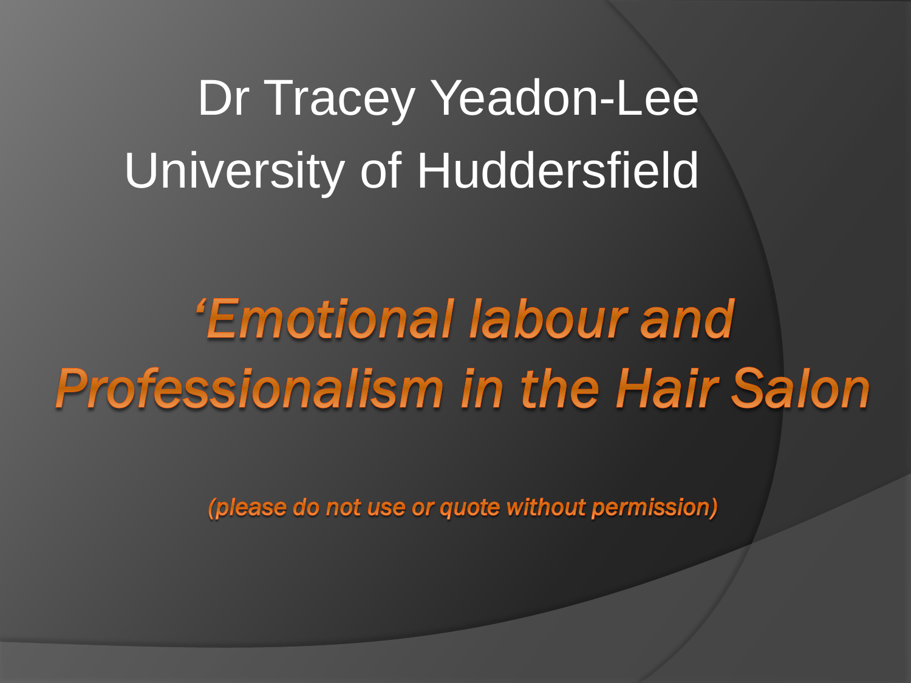# Dr Tracey Yeadon-Lee University of Huddersfield

'Emotional labour and **Professionalism in the Hair Salon** 

(please do not use or quote without permission)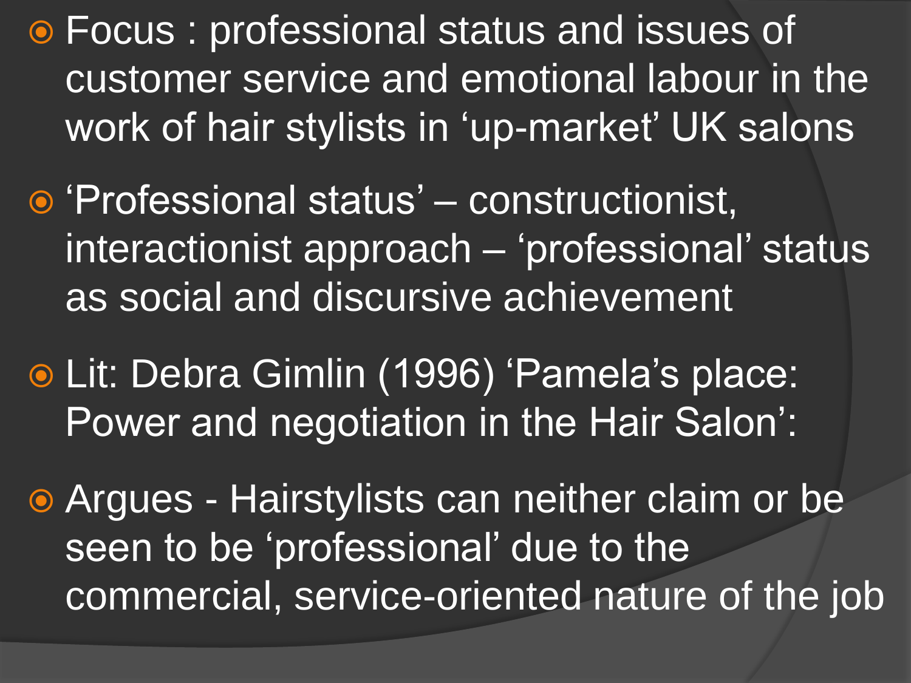Focus : professional status and issues of customer service and emotional labour in the work of hair stylists in 'up-market' UK salons

- Professional status' constructionist, interactionist approach – 'professional' status as social and discursive achievement
- Lit: Debra Gimlin (1996) "Pamela"s place: Power and negotiation in the Hair Salon":

 Argues - Hairstylists can neither claim or be seen to be 'professional' due to the commercial, service-oriented nature of the job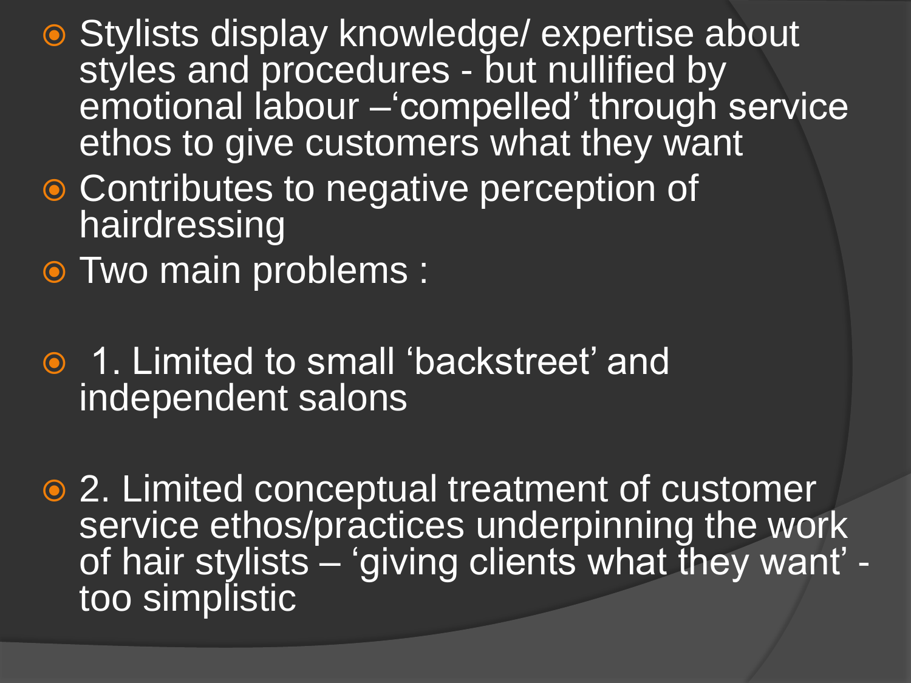- Stylists display knowledge/ expertise about styles and procedures - but nullified by emotional labour – compelled' through service ethos to give customers what they want
- **Contributes to negative perception of** hairdressing
- Two main problems :
- **1. Limited to small 'backstreet' and** independent salons
- 2. Limited conceptual treatment of customer service ethos/practices underpinning the work of hair stylists – 'giving clients what they want' too simplistic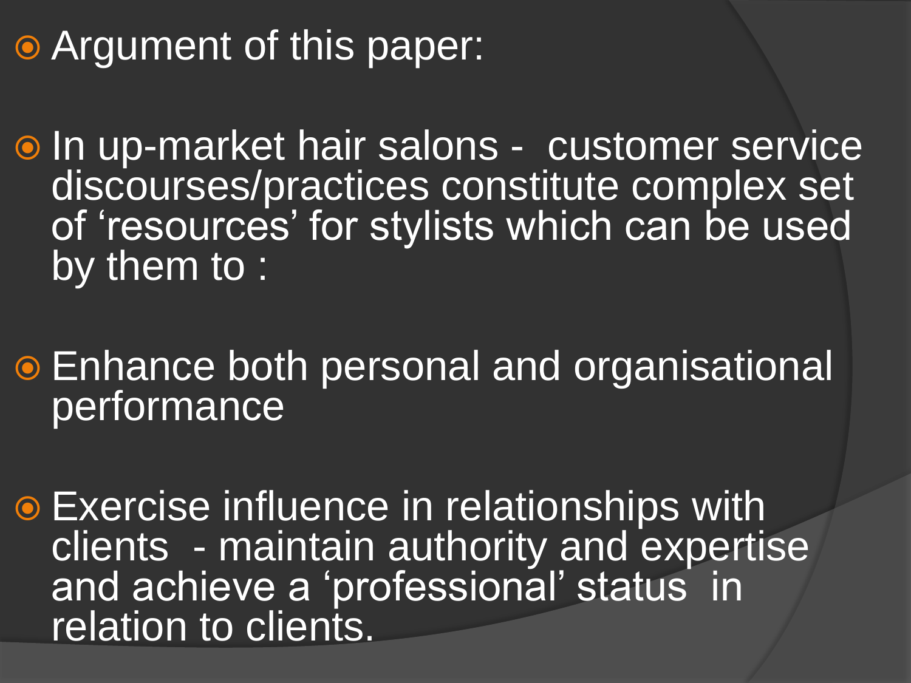# **• Argument of this paper:**

o In up-market hair salons - customer service discourses/practices constitute complex set of "resources" for stylists which can be used by them to :

 Enhance both personal and organisational performance

 Exercise influence in relationships with clients - maintain authority and expertise and achieve a 'professional' status in relation to clients.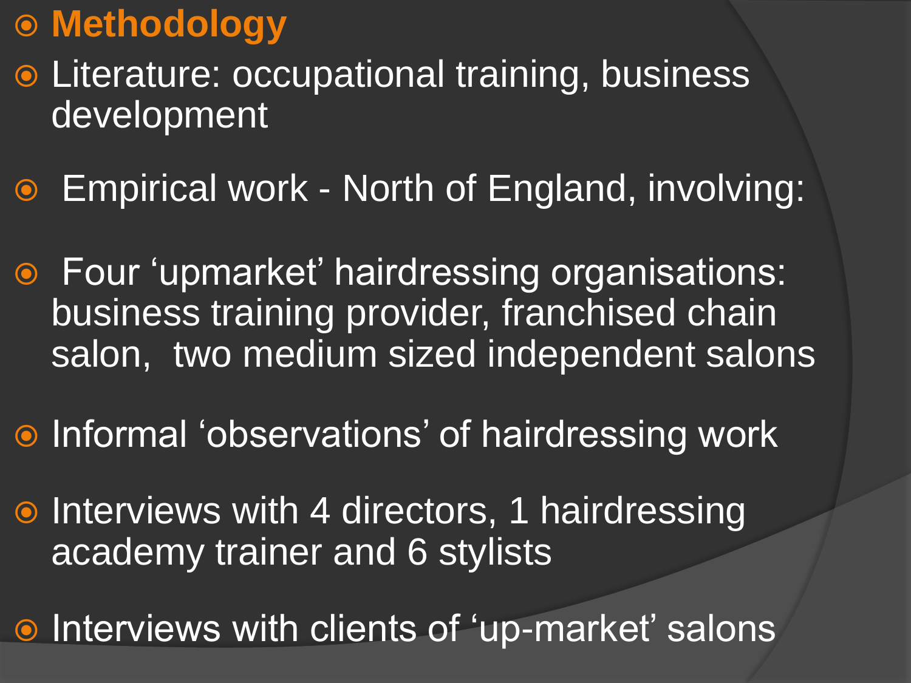## **Methodology**

- Literature: occupational training, business development
- Empirical work North of England, involving:
- Four "upmarket" hairdressing organisations: business training provider, franchised chain salon, two medium sized independent salons
- **Informal 'observations' of hairdressing work**
- Interviews with 4 directors, 1 hairdressing academy trainer and 6 stylists

**Interviews with clients of 'up-market' salons**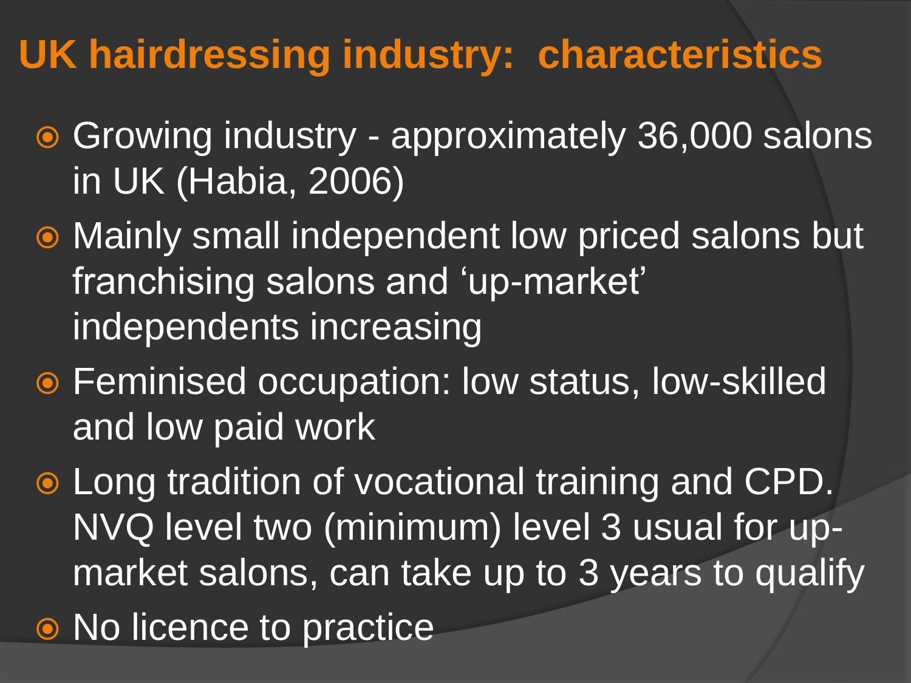# **UK hairdressing industry: characteristics**

- Growing industry approximately 36,000 salons in UK (Habia, 2006)
- Mainly small independent low priced salons but franchising salons and 'up-market' independents increasing
- Feminised occupation: low status, low-skilled and low paid work
- Long tradition of vocational training and CPD. NVQ level two (minimum) level 3 usual for upmarket salons, can take up to 3 years to qualify
- No licence to practice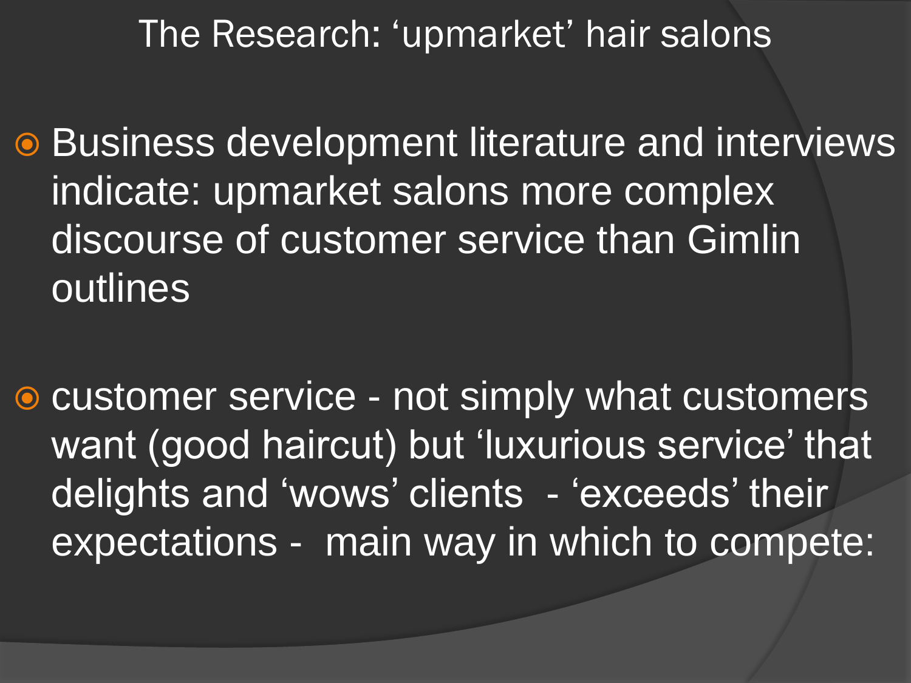The Research: 'upmarket' hair salons

**■ Business development literature and interviews** indicate: upmarket salons more complex discourse of customer service than Gimlin outlines

● customer service - not simply what customers want (good haircut) but 'luxurious service' that delights and 'wows' clients - 'exceeds' their expectations - main way in which to compete: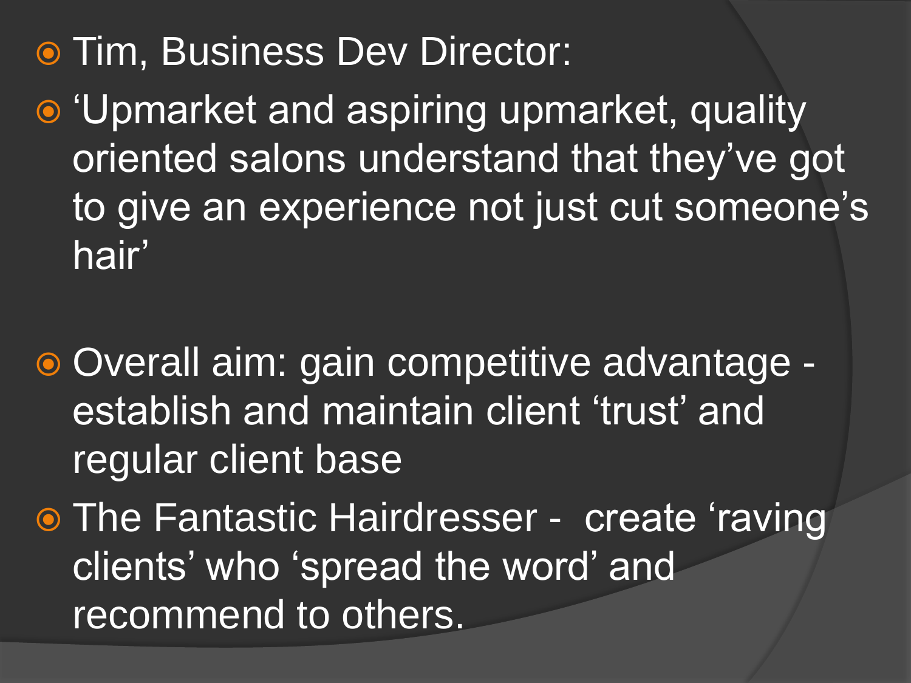# Tim, Business Dev Director:

- $\bullet$  'Upmarket and aspiring upmarket, quality oriented salons understand that they"ve got to give an experience not just cut someone's hair'
- Overall aim: gain competitive advantage establish and maintain client 'trust' and regular client base
- **The Fantastic Hairdresser create 'raving'** clients" who "spread the word" and recommend to others.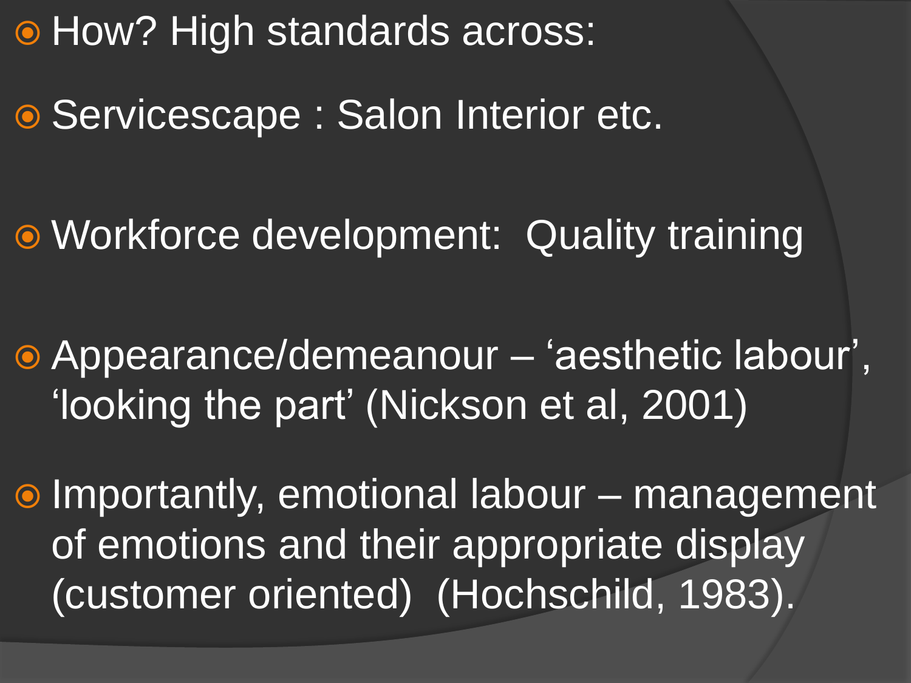**• How? High standards across:** 

● Servicescape : Salon Interior etc.

Workforce development: Quality training

 Appearance/demeanour – "aesthetic labour", "looking the part" (Nickson et al, 2001)

 Importantly, emotional labour – management of emotions and their appropriate display (customer oriented) (Hochschild, 1983).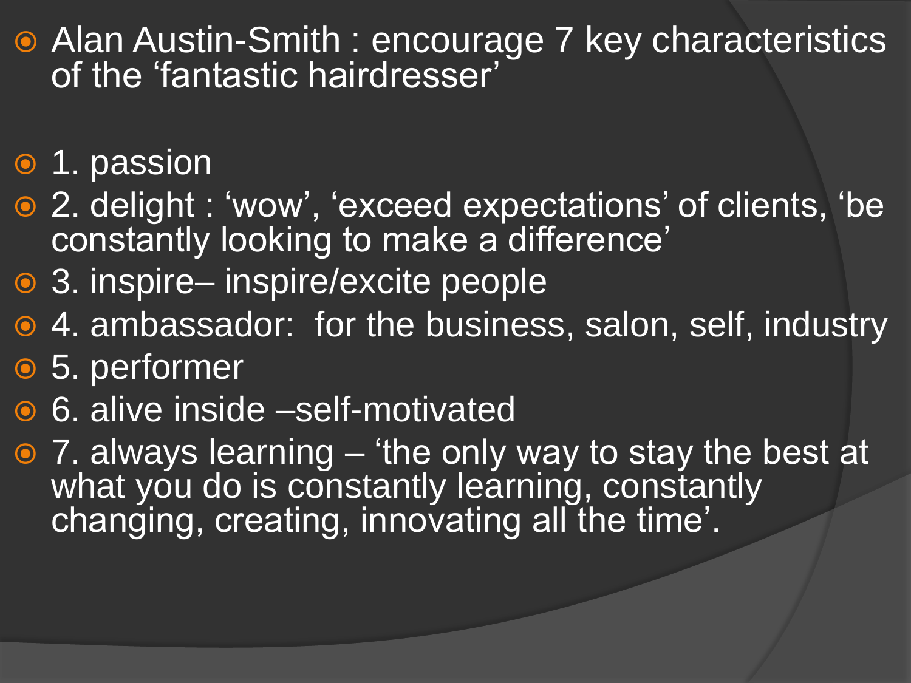- Alan Austin-Smith : encourage 7 key characteristics of the 'fantastic hairdresser'
- 1. passion
- 2. delight : "wow", "exceed expectations" of clients, "be constantly looking to make a difference'
- 3. inspire– inspire/excite people
- 4. ambassador: for the business, salon, self, industry
- 5. performer
- 6. alive inside –self-motivated
- $\odot$  7. always learning 'the only way to stay the best at what you do is constantly learning, constantly changing, creating, innovating all the time'.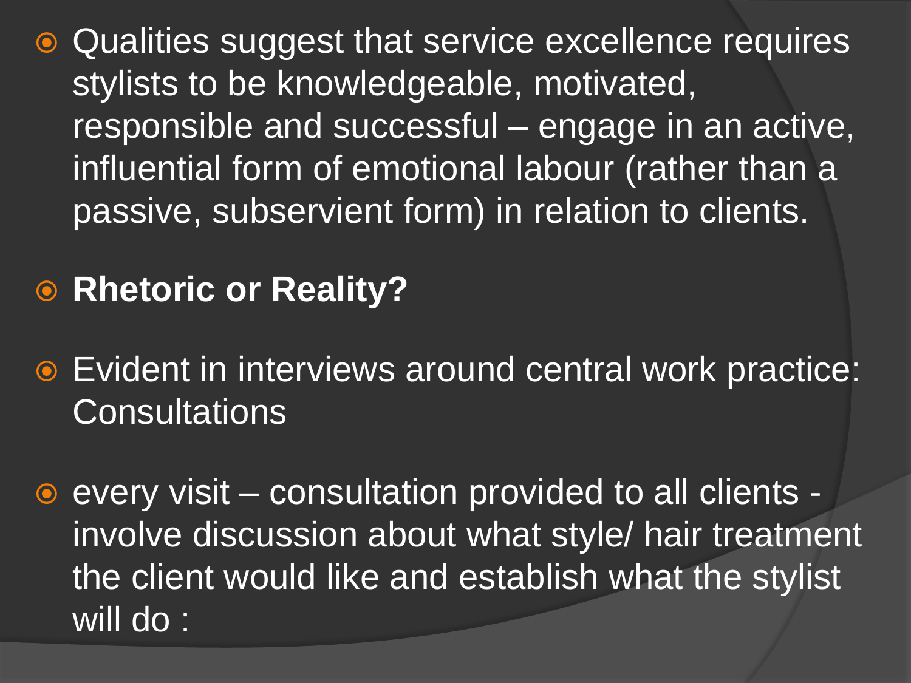- Qualities suggest that service excellence requires stylists to be knowledgeable, motivated, responsible and successful – engage in an active, influential form of emotional labour (rather than a passive, subservient form) in relation to clients.
- **Rhetoric or Reality?**
- Evident in interviews around central work practice: **Consultations**
- every visit consultation provided to all clients involve discussion about what style/ hair treatment the client would like and establish what the stylist will do :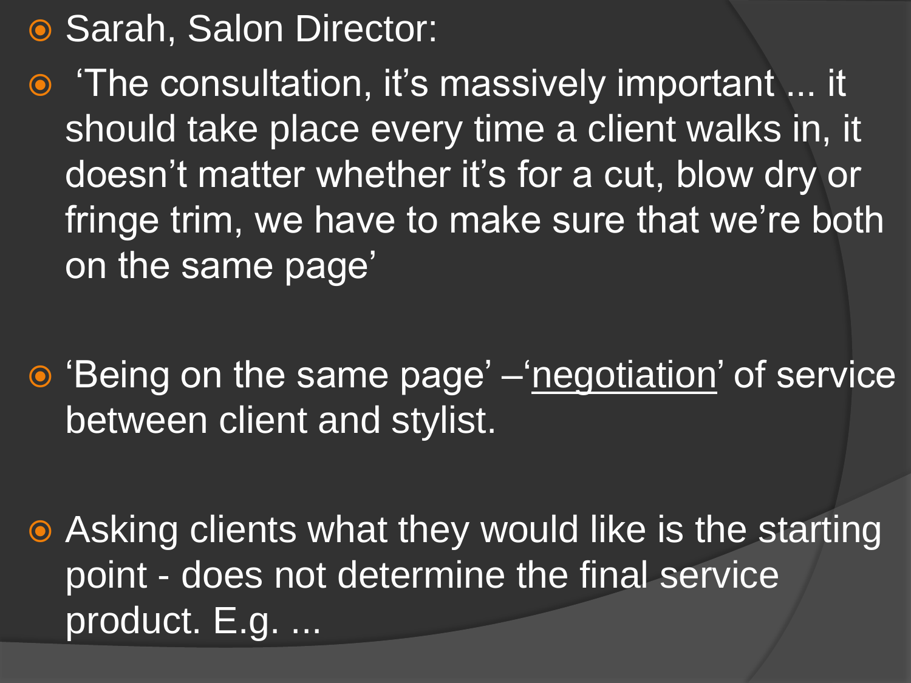● Sarah, Salon Director:

• 'The consultation, it's massively important ... it should take place every time a client walks in, it doesn"t matter whether it"s for a cut, blow dry or fringe trim, we have to make sure that we're both on the same page'

• Being on the same page' – negotiation' of service between client and stylist.

 Asking clients what they would like is the starting point - does not determine the final service product. E.g. ...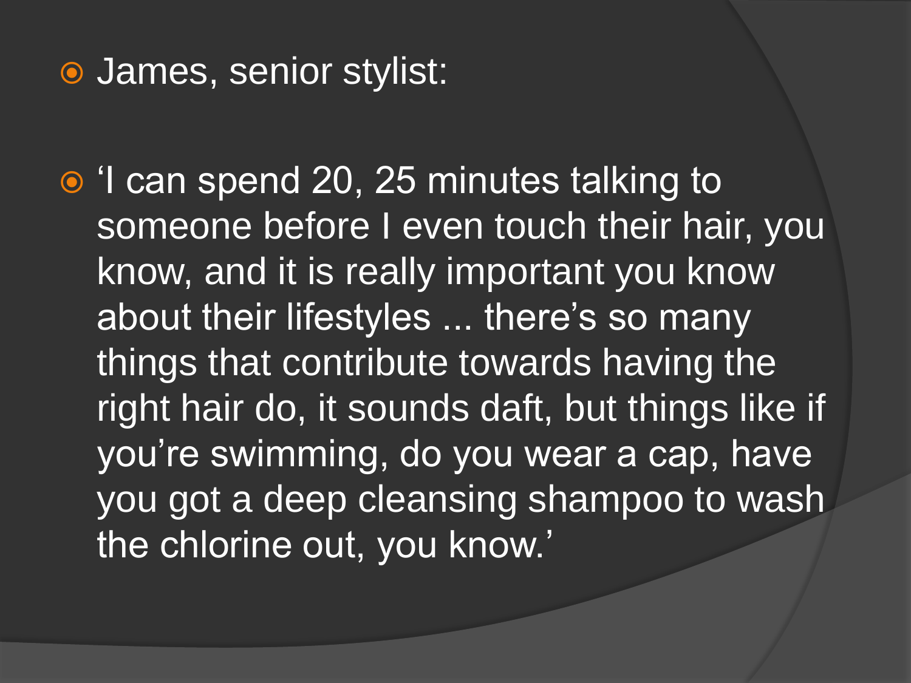#### James, senior stylist:

• I can spend 20, 25 minutes talking to someone before I even touch their hair, you know, and it is really important you know about their lifestyles ... there's so many things that contribute towards having the right hair do, it sounds daft, but things like if you"re swimming, do you wear a cap, have you got a deep cleansing shampoo to wash the chlorine out, you know.'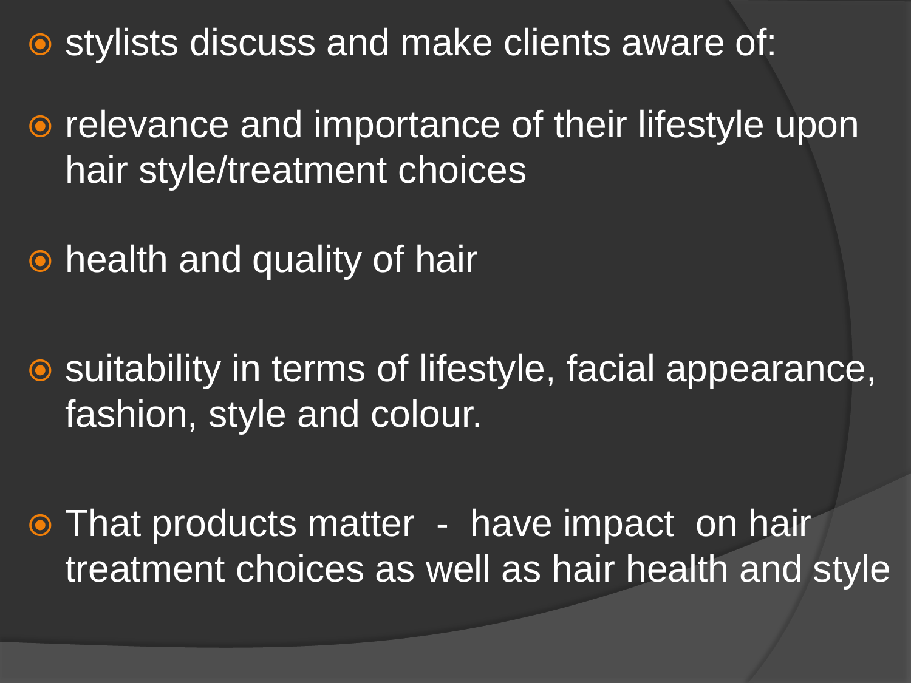**•** stylists discuss and make clients aware of:

• relevance and importance of their lifestyle upon hair style/treatment choices

• health and quality of hair

**■** suitability in terms of lifestyle, facial appearance, fashion, style and colour.

• That products matter - have impact on hair treatment choices as well as hair health and style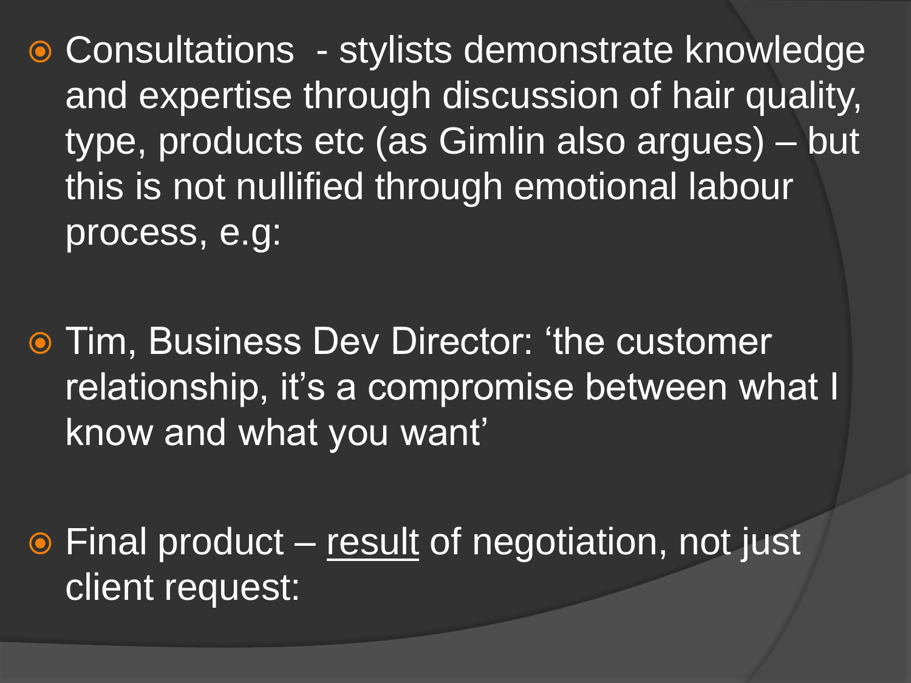● Consultations - stylists demonstrate knowledge and expertise through discussion of hair quality, type, products etc (as Gimlin also argues) – but this is not nullified through emotional labour process, e.g:

**• Tim, Business Dev Director: 'the customer** relationship, it's a compromise between what I know and what you want"

 $\odot$  Final product – result of negotiation, not just client request: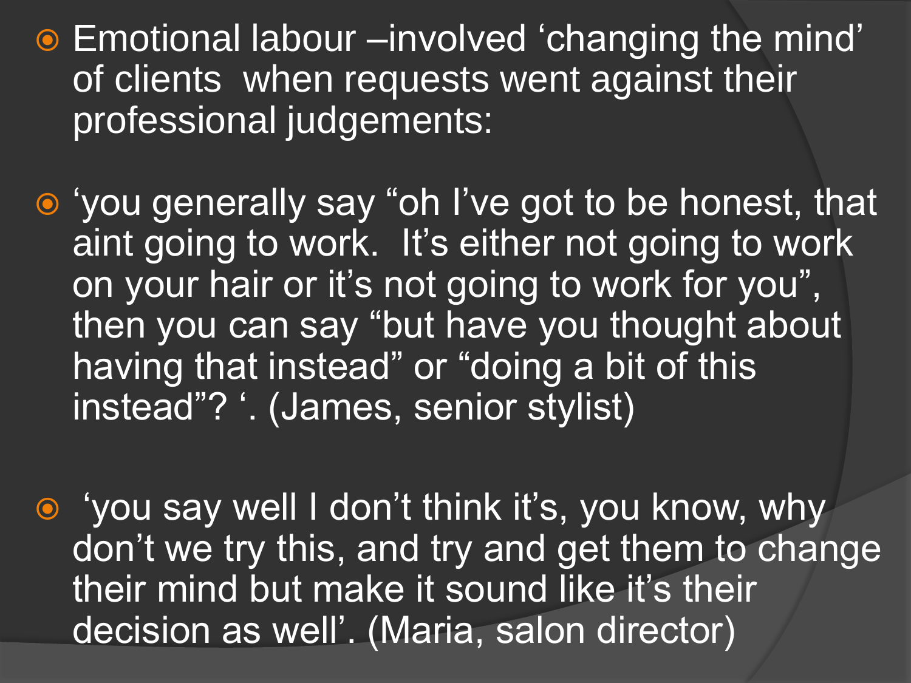- Emotional labour –involved 'changing the mind' of clients when requests went against their professional judgements:
- 'you generally say "oh I've got to be honest, that aint going to work. It's either not going to work on your hair or it"s not going to work for you", then you can say "but have you thought about having that instead" or "doing a bit of this instead"? '. (James, senior stylist)
- 'you say well I don't think it's, you know, why don"t we try this, and try and get them to change their mind but make it sound like it's their decision as well". (Maria, salon director)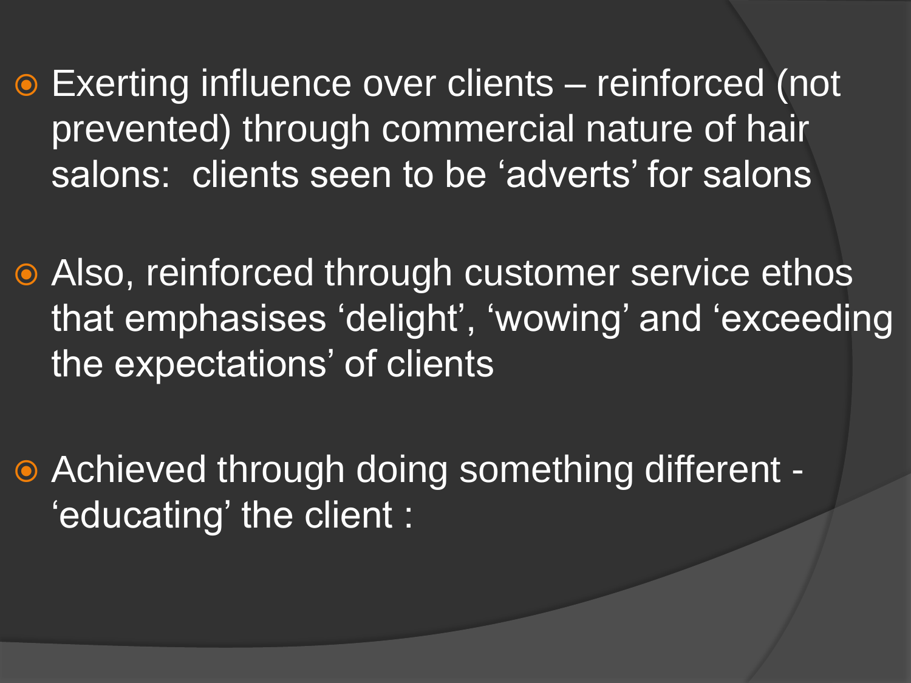Exerting influence over clients – reinforced (not prevented) through commercial nature of hair salons: clients seen to be 'adverts' for salons

 Also, reinforced through customer service ethos that emphasises 'delight', 'wowing' and 'exceeding the expectations' of clients

 Achieved through doing something different - "educating" the client :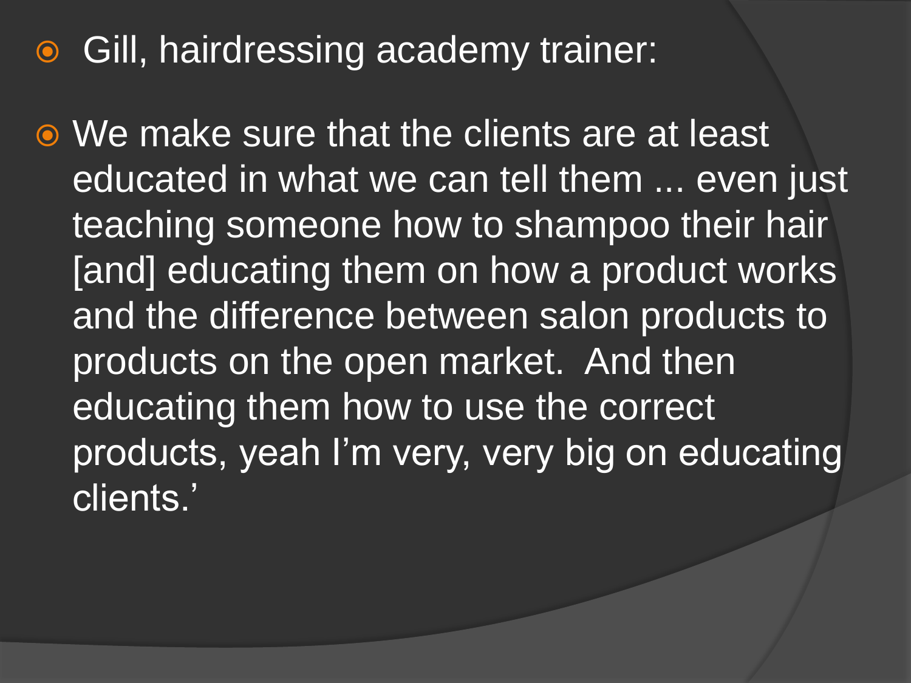### **• Gill, hairdressing academy trainer:**

 We make sure that the clients are at least educated in what we can tell them ... even just teaching someone how to shampoo their hair [and] educating them on how a product works and the difference between salon products to products on the open market. And then educating them how to use the correct products, yeah I'm very, very big on educating clients."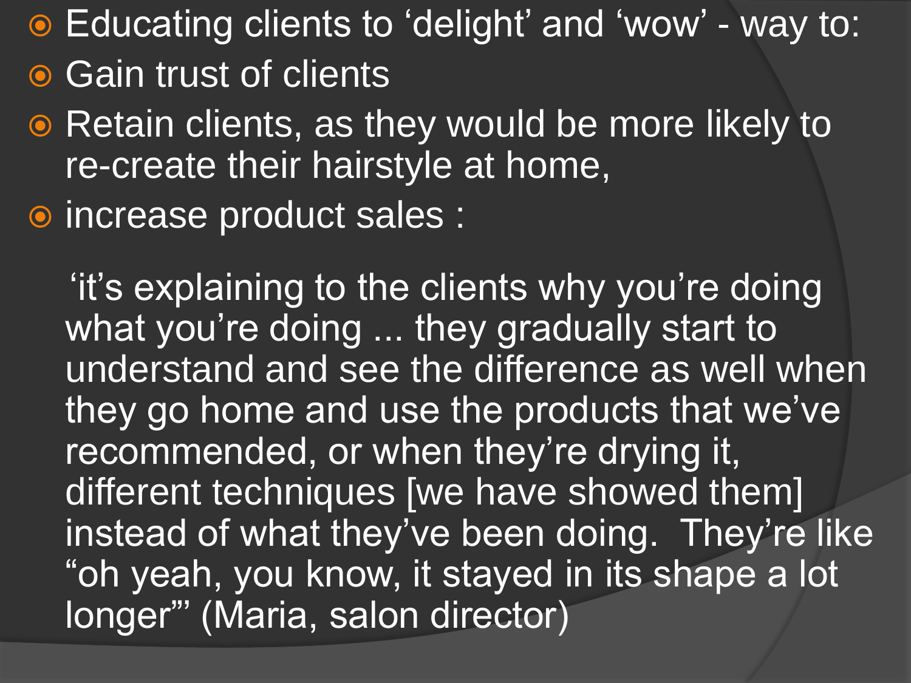Educating clients to "delight" and "wow" - way to:

- **Gain trust of clients**
- Retain clients, as they would be more likely to re-create their hairstyle at home,

increase product sales :

 "it"s explaining to the clients why you"re doing what you're doing ... they gradually start to understand and see the difference as well when they go home and use the products that we've recommended, or when they're drying it, different techniques [we have showed them] instead of what they've been doing. They're like "oh yeah, you know, it stayed in its shape a lot longer"" (Maria, salon director)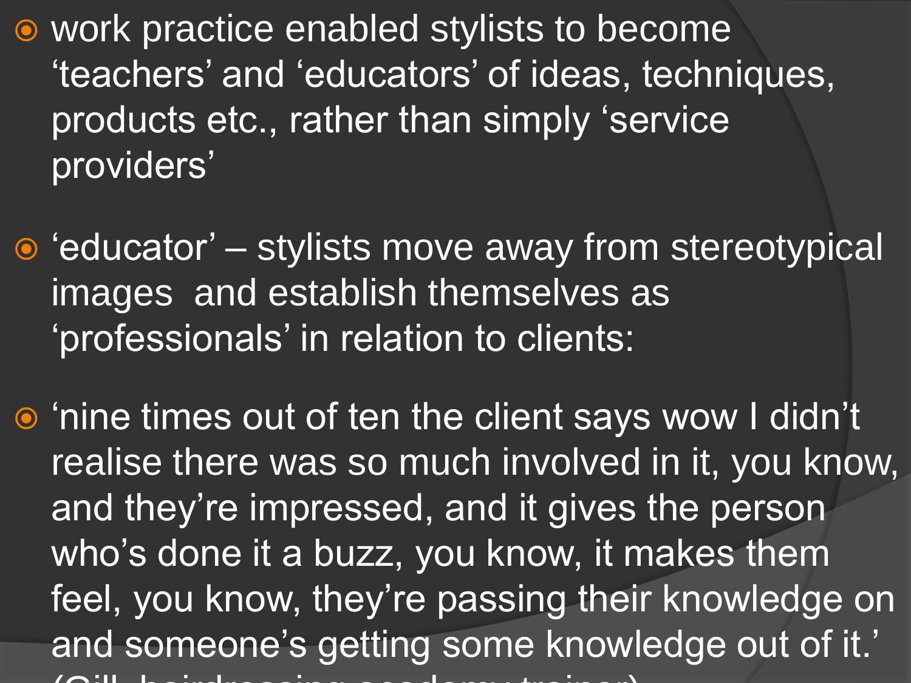work practice enabled stylists to become "teachers" and "educators" of ideas, techniques, products etc., rather than simply "service providers'

 $\bullet$  'educator' – stylists move away from stereotypical images and establish themselves as "professionals" in relation to clients:

• 'nine times out of ten the client says wow I didn't realise there was so much involved in it, you know, and they're impressed, and it gives the person who's done it a buzz, you know, it makes them feel, you know, they"re passing their knowledge on and someone's getting some knowledge out of it.' (Gill, hairdressing academy trainer) academy trainer) academy trainer) academy trainer) academy trainer) academy trainer  $\mathcal{N}$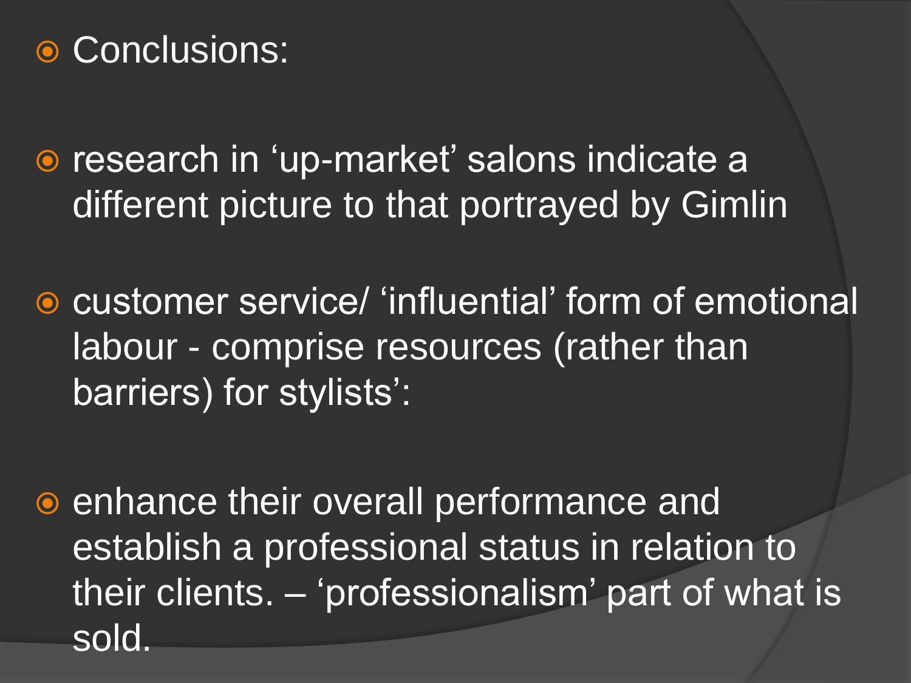## **⊙ Conclusions:**

**•** research in 'up-market' salons indicate a different picture to that portrayed by Gimlin

**• customer service/ 'influential' form of emotional'** labour - comprise resources (rather than barriers) for stylists':

● enhance their overall performance and establish a professional status in relation to their clients. – "professionalism" part of what is sold.